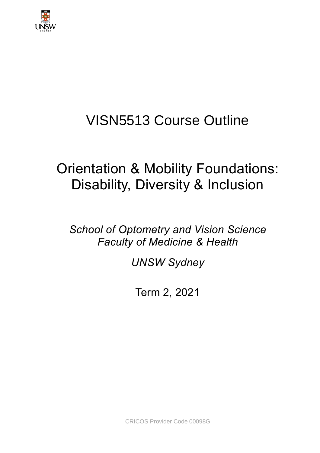

# VISN5513 Course Outline

# Orientation & Mobility Foundations: Disability, Diversity & Inclusion

*School of Optometry and Vision Science Faculty of Medicine & Health*

*UNSW Sydney*

Term 2, 2021

CRICOS Provider Code 00098G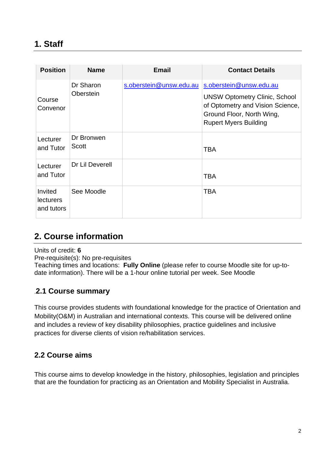| <b>Position</b>                           | <b>Name</b>            | <b>Email</b>            | <b>Contact Details</b>                                                                                                                                           |
|-------------------------------------------|------------------------|-------------------------|------------------------------------------------------------------------------------------------------------------------------------------------------------------|
| Course<br>Convenor                        | Dr Sharon<br>Oberstein | s.oberstein@unsw.edu.au | s.oberstein@unsw.edu.au<br><b>UNSW Optometry Clinic, School</b><br>of Optometry and Vision Science,<br>Ground Floor, North Wing,<br><b>Rupert Myers Building</b> |
| Lecturer<br>and Tutor                     | Dr Bronwen<br>Scott    |                         | <b>TBA</b>                                                                                                                                                       |
| Lecturer<br>and Tutor                     | Dr Lil Deverell        |                         | <b>TBA</b>                                                                                                                                                       |
| Invited<br><b>lecturers</b><br>and tutors | See Moodle             |                         | <b>TBA</b>                                                                                                                                                       |

# **2. Course information**

Units of credit: **6**

Pre-requisite(s): No pre-requisites

Teaching times and locations: **Fully Online** (please refer to course Moodle site for up-todate information). There will be a 1-hour online tutorial per week. See Moodle

## .**2.1 Course summary**

This course provides students with foundational knowledge for the practice of Orientation and Mobility(O&M) in Australian and international contexts. This course will be delivered online and includes a review of key disability philosophies, practice guidelines and inclusive practices for diverse clients of vision re/habilitation services.

## **2.2 Course aims**

This course aims to develop knowledge in the history, philosophies, legislation and principles that are the foundation for practicing as an Orientation and Mobility Specialist in Australia.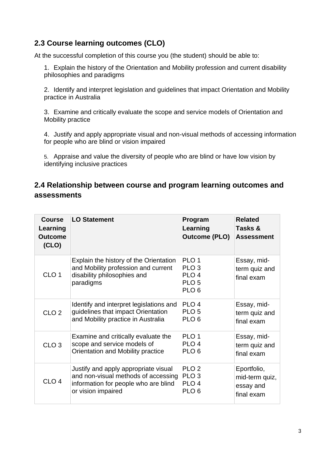## **2.3 Course learning outcomes (CLO)**

At the successful completion of this course you (the student) should be able to:

1. Explain the history of the Orientation and Mobility profession and current disability philosophies and paradigms

2. Identify and interpret legislation and guidelines that impact Orientation and Mobility practice in Australia

3. Examine and critically evaluate the scope and service models of Orientation and Mobility practice

4. Justify and apply appropriate visual and non-visual methods of accessing information for people who are blind or vision impaired

5. Appraise and value the diversity of people who are blind or have low vision by identifying inclusive practices

### **2.4 Relationship between course and program learning outcomes and assessments**

| <b>Course</b><br>Learning<br><b>Outcome</b><br>(CLO) | <b>LO Statement</b>                                                                                                       | Program<br>Learning<br><b>Outcome (PLO)</b>                                                      | <b>Related</b><br>Tasks &<br><b>Assessment</b> |
|------------------------------------------------------|---------------------------------------------------------------------------------------------------------------------------|--------------------------------------------------------------------------------------------------|------------------------------------------------|
| CLO <sub>1</sub>                                     | Explain the history of the Orientation<br>and Mobility profession and current<br>disability philosophies and<br>paradigms | PLO <sub>1</sub><br>PLO <sub>3</sub><br>PLO <sub>4</sub><br>PLO <sub>5</sub><br>PLO <sub>6</sub> | Essay, mid-<br>term quiz and<br>final exam     |
| CLO <sub>2</sub>                                     | Identify and interpret legislations and                                                                                   | PLO <sub>4</sub>                                                                                 | Essay, mid-                                    |
|                                                      | guidelines that impact Orientation                                                                                        | PLO <sub>5</sub>                                                                                 | term quiz and                                  |
|                                                      | and Mobility practice in Australia                                                                                        | PLO <sub>6</sub>                                                                                 | final exam                                     |
| CLO <sub>3</sub>                                     | Examine and critically evaluate the                                                                                       | PLO <sub>1</sub>                                                                                 | Essay, mid-                                    |
|                                                      | scope and service models of                                                                                               | PLO <sub>4</sub>                                                                                 | term quiz and                                  |
|                                                      | Orientation and Mobility practice                                                                                         | PLO <sub>6</sub>                                                                                 | final exam                                     |
| CLO <sub>4</sub>                                     | Justify and apply appropriate visual                                                                                      | PLO <sub>2</sub>                                                                                 | Eportfolio,                                    |
|                                                      | and non-visual methods of accessing                                                                                       | PLO <sub>3</sub>                                                                                 | mid-term quiz,                                 |
|                                                      | information for people who are blind                                                                                      | PLO <sub>4</sub>                                                                                 | essay and                                      |
|                                                      | or vision impaired                                                                                                        | PLO <sub>6</sub>                                                                                 | final exam                                     |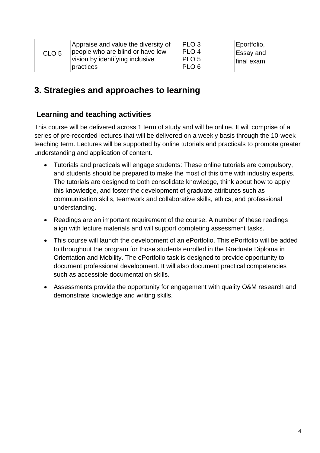| CLO <sub>5</sub> | Appraise and value the diversity of<br>people who are blind or have low<br>vision by identifying inclusive<br>practices | PLO <sub>3</sub><br>PLO <sub>4</sub><br>PLO <sub>5</sub><br>PLO <sub>6</sub> | Eportfolio,<br><b>Essay and</b><br>final exam |
|------------------|-------------------------------------------------------------------------------------------------------------------------|------------------------------------------------------------------------------|-----------------------------------------------|
|------------------|-------------------------------------------------------------------------------------------------------------------------|------------------------------------------------------------------------------|-----------------------------------------------|

## **3. Strategies and approaches to learning**

### **Learning and teaching activities**

This course will be delivered across 1 term of study and will be online. It will comprise of a series of pre-recorded lectures that will be delivered on a weekly basis through the 10-week teaching term. Lectures will be supported by online tutorials and practicals to promote greater understanding and application of content.

- Tutorials and practicals will engage students: These online tutorials are compulsory, and students should be prepared to make the most of this time with industry experts. The tutorials are designed to both consolidate knowledge, think about how to apply this knowledge, and foster the development of graduate attributes such as communication skills, teamwork and collaborative skills, ethics, and professional understanding.
- Readings are an important requirement of the course. A number of these readings align with lecture materials and will support completing assessment tasks.
- This course will launch the development of an ePortfolio. This ePortfolio will be added to throughout the program for those students enrolled in the Graduate Diploma in Orientation and Mobility. The ePortfolio task is designed to provide opportunity to document professional development. It will also document practical competencies such as accessible documentation skills.
- Assessments provide the opportunity for engagement with quality O&M research and demonstrate knowledge and writing skills.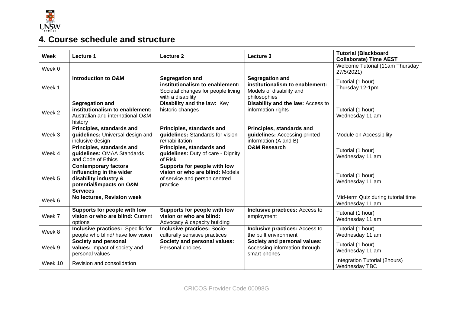

# **4. Course schedule and structure**

| Week              | Lecture 1                                                                                                                       | Lecture 2                                                                                                            | Lecture 3                                                                                             | <b>Tutorial (Blackboard</b><br><b>Collaborate) Time AEST</b> |
|-------------------|---------------------------------------------------------------------------------------------------------------------------------|----------------------------------------------------------------------------------------------------------------------|-------------------------------------------------------------------------------------------------------|--------------------------------------------------------------|
| Week 0            |                                                                                                                                 |                                                                                                                      |                                                                                                       | Welcome Tutorial (11am Thursday<br>27/5/2021)                |
| Week 1            | <b>Introduction to O&amp;M</b>                                                                                                  | <b>Segregation and</b><br>institutionalism to enablement:<br>Societal changes for people living<br>with a disability | <b>Segregation and</b><br>institutionalism to enablement:<br>Models of disability and<br>philosophies | Tutorial (1 hour)<br>Thursday 12-1pm                         |
| Week <sub>2</sub> | <b>Segregation and</b><br>institutionalism to enablement:<br>Australian and international O&M<br>history                        | Disability and the law: Key<br>historic changes                                                                      | Disability and the law: Access to<br>information rights                                               | Tutorial (1 hour)<br>Wednesday 11 am                         |
| Week <sub>3</sub> | Principles, standards and<br>guidelines: Universal design and<br>inclusive design                                               | Principles, standards and<br>guidelines: Standards for vision<br>re/habilitation                                     | Principles, standards and<br>guidelines: Accessing printed<br>information (A and B)                   | Module on Accessibility                                      |
| Week 4            | Principles, standards and<br>guidelines: OMAA Standards<br>and Code of Ethics                                                   | Principles, standards and<br>guidelines: Duty of care - Dignity<br>of Risk                                           | <b>O&amp;M Research</b>                                                                               | Tutorial (1 hour)<br>Wednesday 11 am                         |
| Week 5            | <b>Contemporary factors</b><br>influencing in the wider<br>disability industry &<br>potential/impacts on O&M<br><b>Services</b> | Supports for people with low<br>vision or who are blind: Models<br>of service and person centred<br>practice         |                                                                                                       | Tutorial (1 hour)<br>Wednesday 11 am                         |
| Week 6            | No lectures, Revision week                                                                                                      |                                                                                                                      |                                                                                                       | Mid-term Quiz during tutorial time<br>Wednesday 11 am        |
| Week 7            | Supports for people with low<br>vision or who are blind: Current<br>options                                                     | Supports for people with low<br>vision or who are blind:<br>Advocacy & capacity building                             | Inclusive practices: Access to<br>employment                                                          | Tutorial (1 hour)<br>Wednesday 11 am                         |
| Week 8            | Inclusive practices: Specific for<br>people who blind/ have low vision                                                          | <b>Inclusive practices: Socio-</b><br>culturally sensitive practices                                                 | Inclusive practices: Access to<br>the built environment                                               | Tutorial (1 hour)<br>Wednesday 11 am                         |
| Week 9            | Society and personal<br>values: Impact of society and<br>personal values                                                        | Society and personal values:<br>Personal choices                                                                     | Society and personal values:<br>Accessing information through<br>smart phones                         | Tutorial (1 hour)<br>Wednesday 11 am                         |
| Week 10           | Revision and consolidation                                                                                                      |                                                                                                                      |                                                                                                       | Integration Tutorial (2hours)<br>Wednesday TBC               |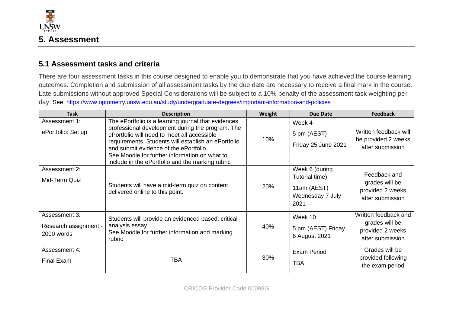

#### **5.1 Assessment tasks and criteria**

There are four assessment tasks in this course designed to enable you to demonstrate that you have achieved the course learning outcomes. Completion and submission of all assessment tasks by the due date are necessary to receive a final mark in the course. Late submissions without approved Special Considerations will be subject to a 10% penalty of the assessment task weighting per day. See:<https://www.optometry.unsw.edu.au/study/undergraduate-degrees/important-information-and-policies>

| <b>Task</b>                                          | <b>Description</b>                                                                                                                                                                                                                                                                                                                                           | Weight | <b>Due Date</b>                                                             | <b>Feedback</b>                                                                |
|------------------------------------------------------|--------------------------------------------------------------------------------------------------------------------------------------------------------------------------------------------------------------------------------------------------------------------------------------------------------------------------------------------------------------|--------|-----------------------------------------------------------------------------|--------------------------------------------------------------------------------|
| Assessment 1:<br>ePortfolio: Set up                  | The ePortfolio is a learning journal that evidences<br>professional development during the program. The<br>ePortfolio will need to meet all accessible<br>requirements. Students will establish an ePortfolio<br>and submit evidence of the ePortfolio.<br>See Moodle for further information on what to<br>include in the ePortfolio and the marking rubric | 10%    | Week 4<br>5 pm (AEST)<br>Friday 25 June 2021                                | Written feedback will<br>be provided 2 weeks<br>after submission               |
| Assessment 2:<br>Mid-Term Quiz                       | Students will have a mid-term quiz on content<br>delivered online to this point.                                                                                                                                                                                                                                                                             | 20%    | Week 6 (during<br>Tutorial time)<br>11am (AEST)<br>Wednesday 7 July<br>2021 | Feedback and<br>grades will be<br>provided 2 weeks<br>after submission         |
| Assessment 3:<br>Research assignment -<br>2000 words | Students will provide an evidenced based, critical<br>analysis essay.<br>See Moodle for further information and marking<br>rubric                                                                                                                                                                                                                            | 40%    | Week 10<br>5 pm (AEST) Friday<br>6 August 2021                              | Written feedback and<br>grades will be<br>provided 2 weeks<br>after submission |
| Assessment 4:<br>Final Exam                          | <b>TBA</b>                                                                                                                                                                                                                                                                                                                                                   | 30%    | <b>Exam Period</b><br><b>TBA</b>                                            | Grades will be<br>provided following<br>the exam period                        |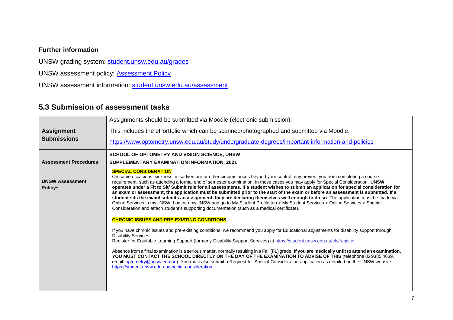#### **Further information**

UNSW grading system: [student.unsw.edu.au/grades](https://student.unsw.edu.au/grades)

UNSW assessment policy: [Assessment Policy](https://www.gs.unsw.edu.au/policy/documents/assessmentpolicy.pdf)

UNSW assessment information: [student.unsw.edu.au/assessment](https://student.unsw.edu.au/assessment)

#### **5.3 Submission of assessment tasks**

|                                               | Assignments should be submitted via Moodle (electronic submission).                                                                                                                                                                                                                                                                                                                                                                                                                                                                                                                                                                                                                                                                                                                                                                                                                                                                                         |  |  |  |
|-----------------------------------------------|-------------------------------------------------------------------------------------------------------------------------------------------------------------------------------------------------------------------------------------------------------------------------------------------------------------------------------------------------------------------------------------------------------------------------------------------------------------------------------------------------------------------------------------------------------------------------------------------------------------------------------------------------------------------------------------------------------------------------------------------------------------------------------------------------------------------------------------------------------------------------------------------------------------------------------------------------------------|--|--|--|
| <b>Assignment</b>                             | This includes the ePortfolio which can be scanned/photographed and submitted via Moodle.                                                                                                                                                                                                                                                                                                                                                                                                                                                                                                                                                                                                                                                                                                                                                                                                                                                                    |  |  |  |
| <b>Submissions</b>                            | https://www.optometry.unsw.edu.au/study/undergraduate-degrees/important-information-and-policies                                                                                                                                                                                                                                                                                                                                                                                                                                                                                                                                                                                                                                                                                                                                                                                                                                                            |  |  |  |
|                                               | SCHOOL OF OPTOMETRY AND VISION SCIENCE, UNSW                                                                                                                                                                                                                                                                                                                                                                                                                                                                                                                                                                                                                                                                                                                                                                                                                                                                                                                |  |  |  |
| <b>Assessment Procedures</b>                  | SUPPLEMENTARY EXAMINATION INFORMATION, 2021                                                                                                                                                                                                                                                                                                                                                                                                                                                                                                                                                                                                                                                                                                                                                                                                                                                                                                                 |  |  |  |
| <b>UNSW Assessment</b><br>Policy <sup>1</sup> | <b>SPECIAL CONSIDERATION</b><br>On some occasions, sickness, misadventure or other circumstances beyond your control may prevent you from completing a course<br>requirement, such as attending a formal end of semester examination. In these cases you may apply for Special Consideration. UNSW<br>operates under a Fit to Sit/ Submit rule for all assessments. If a student wishes to submit an application for special consideration for<br>an exam or assessment, the application must be submitted prior to the start of the exam or before an assessment is submitted. If a<br>student sits the exam/ submits an assignment, they are declaring themselves well enough to do so. The application must be made via<br>Online Services in myUNSW. Log into myUNSW and go to My Student Profile tab > My Student Services > Online Services > Special<br>Consideration and attach student's supporting documentation (such as a medical certificate). |  |  |  |
|                                               | <b>CHRONIC ISSUES AND PRE-EXISTING CONDITIONS</b>                                                                                                                                                                                                                                                                                                                                                                                                                                                                                                                                                                                                                                                                                                                                                                                                                                                                                                           |  |  |  |
|                                               | If you have chronic issues and pre-existing conditions, we recommend you apply for Educational adjustments for disability support through<br>Disability Services.                                                                                                                                                                                                                                                                                                                                                                                                                                                                                                                                                                                                                                                                                                                                                                                           |  |  |  |
|                                               | Register for Equitable Learning Support (formerly Disability Support Services) at https://student.unsw.edu.au/els/register                                                                                                                                                                                                                                                                                                                                                                                                                                                                                                                                                                                                                                                                                                                                                                                                                                  |  |  |  |
|                                               | Absence from a final examination is a serious matter, normally resulting in a Fail (FL) grade. If you are medically unfit to attend an examination,<br>YOU MUST CONTACT THE SCHOOL DIRECTLY ON THE DAY OF THE EXAMINATION TO ADVISE OF THIS (telephone 029385 4639,<br>email: optometry@unsw.edu.au). You must also submit a Request for Special Consideration application as detailed on the UNSW website:<br>https://student.unsw.edu.au/special-consideration                                                                                                                                                                                                                                                                                                                                                                                                                                                                                            |  |  |  |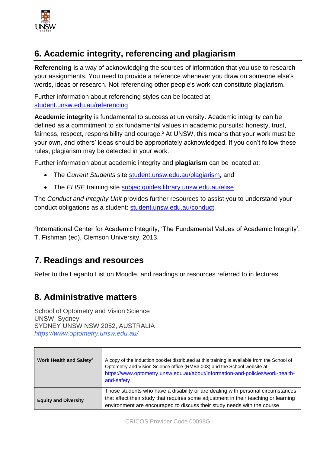

## **6. Academic integrity, referencing and plagiarism**

**Referencing** is a way of acknowledging the sources of information that you use to research your assignments. You need to provide a reference whenever you draw on someone else's words, ideas or research. Not referencing other people's work can constitute plagiarism.

Further information about referencing styles can be located at [student.unsw.edu.au/referencing](https://student.unsw.edu.au/referencing)

**Academic integrity** is fundamental to success at university. Academic integrity can be defined as a commitment to six fundamental values in academic pursuits**:** honesty, trust, fairness, respect, responsibility and courage.<sup>2</sup> At UNSW, this means that your work must be your own, and others' ideas should be appropriately acknowledged. If you don't follow these rules, plagiarism may be detected in your work.

Further information about academic integrity and **plagiarism** can be located at:

- The *Current Students* site [student.unsw.edu.au/plagiarism](https://student.unsw.edu.au/plagiarism)*,* and
- The *ELISE* training site [subjectguides.library.unsw.edu.au/elise](http://subjectguides.library.unsw.edu.au/elise)

The *Conduct and Integrity Unit* provides further resources to assist you to understand your conduct obligations as a student: [student.unsw.edu.au/conduct.](https://student.unsw.edu.au/conduct)

2 International Center for Academic Integrity, 'The Fundamental Values of Academic Integrity', T. Fishman (ed), Clemson University, 2013.

## **7. Readings and resources**

Refer to the Leganto List on Moodle, and readings or resources referred to in lectures

## **8. Administrative matters**

School of Optometry and Vision Science UNSW, Sydney SYDNEY UNSW NSW 2052, AUSTRALIA *https://www.optometry.unsw.edu.au/*

| Work Health and Safety <sup>3</sup> | A copy of the Induction booklet distributed at this training is available from the School of<br>Optometry and Vision Science office (RMB3.003) and the School website at:<br>https://www.optometry.unsw.edu.au/about/information-and-policies/work-health-<br>and-safety |
|-------------------------------------|--------------------------------------------------------------------------------------------------------------------------------------------------------------------------------------------------------------------------------------------------------------------------|
| <b>Equity and Diversity</b>         | Those students who have a disability or are dealing with personal circumstances<br>that affect their study that requires some adjustment in their teaching or learning<br>environment are encouraged to discuss their study needs with the course                        |